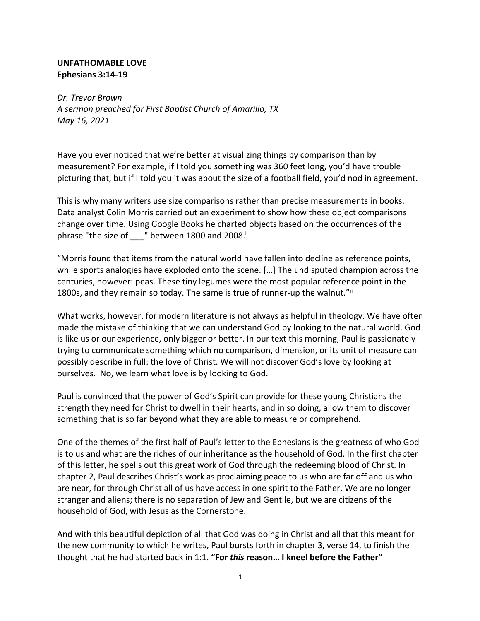#### **UNFATHOMABLE LOVE Ephesians 3:14-19**

*Dr. Trevor Brown A sermon preached for First Baptist Church of Amarillo, TX May 16, 2021*

Have you ever noticed that we're better at visualizing things by comparison than by measurement? For example, if I told you something was 360 feet long, you'd have trouble picturing that, but if I told you it was about the size of a football field, you'd nod in agreement.

This is why many writers use size comparisons rather than precise measurements in books. Data analyst Colin Morris carried out an experiment to show how these object comparisons change over time. Using Google Books he charted objects based on the occurrences of the phrase "the size of \_\_\_" between 1800 and 2008.

"Morris found that items from the natural world have fallen into decline as reference points, while sports analogies have exploded onto the scene. […] The undisputed champion across the centuries, however: peas. These tiny legumes were the most popular reference point in the 1800s, and they remain so today. The same is true of runner-up the walnut."ii

What works, however, for modern literature is not always as helpful in theology. We have often made the mistake of thinking that we can understand God by looking to the natural world. God is like us or our experience, only bigger or better. In our text this morning, Paul is passionately trying to communicate something which no comparison, dimension, or its unit of measure can possibly describe in full: the love of Christ. We will not discover God's love by looking at ourselves. No, we learn what love is by looking to God.

Paul is convinced that the power of God's Spirit can provide for these young Christians the strength they need for Christ to dwell in their hearts, and in so doing, allow them to discover something that is so far beyond what they are able to measure or comprehend.

One of the themes of the first half of Paul's letter to the Ephesians is the greatness of who God is to us and what are the riches of our inheritance as the household of God. In the first chapter of this letter, he spells out this great work of God through the redeeming blood of Christ. In chapter 2, Paul describes Christ's work as proclaiming peace to us who are far off and us who are near, for through Christ all of us have access in one spirit to the Father. We are no longer stranger and aliens; there is no separation of Jew and Gentile, but we are citizens of the household of God, with Jesus as the Cornerstone.

And with this beautiful depiction of all that God was doing in Christ and all that this meant for the new community to which he writes, Paul bursts forth in chapter 3, verse 14, to finish the thought that he had started back in 1:1. **"For** *this* **reason… I kneel before the Father"**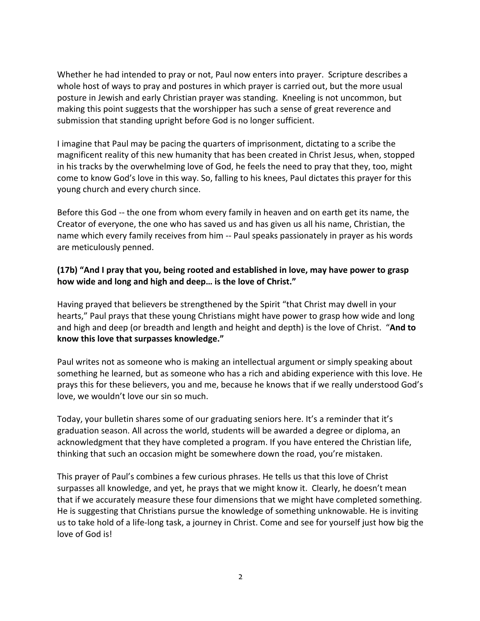Whether he had intended to pray or not, Paul now enters into prayer. Scripture describes a whole host of ways to pray and postures in which prayer is carried out, but the more usual posture in Jewish and early Christian prayer was standing. Kneeling is not uncommon, but making this point suggests that the worshipper has such a sense of great reverence and submission that standing upright before God is no longer sufficient.

I imagine that Paul may be pacing the quarters of imprisonment, dictating to a scribe the magnificent reality of this new humanity that has been created in Christ Jesus, when, stopped in his tracks by the overwhelming love of God, he feels the need to pray that they, too, might come to know God's love in this way. So, falling to his knees, Paul dictates this prayer for this young church and every church since.

Before this God -- the one from whom every family in heaven and on earth get its name, the Creator of everyone, the one who has saved us and has given us all his name, Christian, the name which every family receives from him -- Paul speaks passionately in prayer as his words are meticulously penned.

### **(17b) "And I pray that you, being rooted and established in love, may have power to grasp how wide and long and high and deep… is the love of Christ."**

Having prayed that believers be strengthened by the Spirit "that Christ may dwell in your hearts," Paul prays that these young Christians might have power to grasp how wide and long and high and deep (or breadth and length and height and depth) is the love of Christ. "**And to know this love that surpasses knowledge."**

Paul writes not as someone who is making an intellectual argument or simply speaking about something he learned, but as someone who has a rich and abiding experience with this love. He prays this for these believers, you and me, because he knows that if we really understood God's love, we wouldn't love our sin so much.

Today, your bulletin shares some of our graduating seniors here. It's a reminder that it's graduation season. All across the world, students will be awarded a degree or diploma, an acknowledgment that they have completed a program. If you have entered the Christian life, thinking that such an occasion might be somewhere down the road, you're mistaken.

This prayer of Paul's combines a few curious phrases. He tells us that this love of Christ surpasses all knowledge, and yet, he prays that we might know it. Clearly, he doesn't mean that if we accurately measure these four dimensions that we might have completed something. He is suggesting that Christians pursue the knowledge of something unknowable. He is inviting us to take hold of a life-long task, a journey in Christ. Come and see for yourself just how big the love of God is!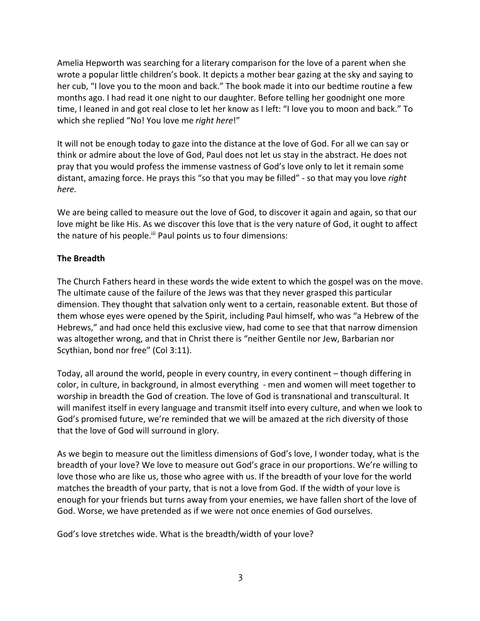Amelia Hepworth was searching for a literary comparison for the love of a parent when she wrote a popular little children's book. It depicts a mother bear gazing at the sky and saying to her cub, "I love you to the moon and back." The book made it into our bedtime routine a few months ago. I had read it one night to our daughter. Before telling her goodnight one more time, I leaned in and got real close to let her know as I left: "I love you to moon and back." To which she replied "No! You love me *right here*!"

It will not be enough today to gaze into the distance at the love of God. For all we can say or think or admire about the love of God, Paul does not let us stay in the abstract. He does not pray that you would profess the immense vastness of God's love only to let it remain some distant, amazing force. He prays this "so that you may be filled" - so that may you love *right here.*

We are being called to measure out the love of God, to discover it again and again, so that our love might be like His. As we discover this love that is the very nature of God, it ought to affect the nature of his people.<sup>iii</sup> Paul points us to four dimensions:

#### **The Breadth**

The Church Fathers heard in these words the wide extent to which the gospel was on the move. The ultimate cause of the failure of the Jews was that they never grasped this particular dimension. They thought that salvation only went to a certain, reasonable extent. But those of them whose eyes were opened by the Spirit, including Paul himself, who was "a Hebrew of the Hebrews," and had once held this exclusive view, had come to see that that narrow dimension was altogether wrong, and that in Christ there is "neither Gentile nor Jew, Barbarian nor Scythian, bond nor free" (Col 3:11).

Today, all around the world, people in every country, in every continent – though differing in color, in culture, in background, in almost everything - men and women will meet together to worship in breadth the God of creation. The love of God is transnational and transcultural. It will manifest itself in every language and transmit itself into every culture, and when we look to God's promised future, we're reminded that we will be amazed at the rich diversity of those that the love of God will surround in glory.

As we begin to measure out the limitless dimensions of God's love, I wonder today, what is the breadth of your love? We love to measure out God's grace in our proportions. We're willing to love those who are like us, those who agree with us. If the breadth of your love for the world matches the breadth of your party, that is not a love from God. If the width of your love is enough for your friends but turns away from your enemies, we have fallen short of the love of God. Worse, we have pretended as if we were not once enemies of God ourselves.

God's love stretches wide. What is the breadth/width of your love?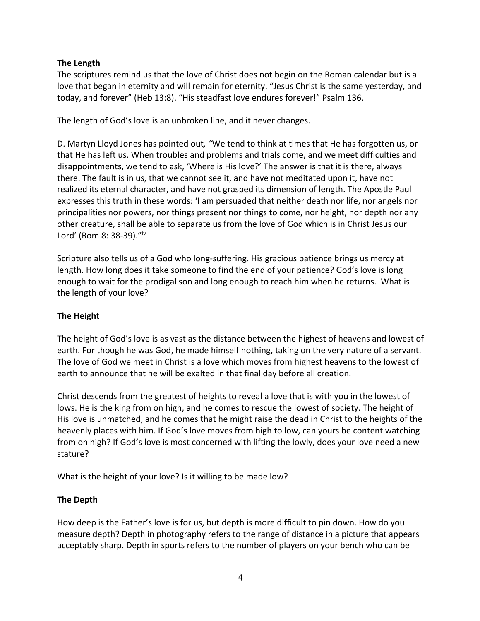## **The Length**

The scriptures remind us that the love of Christ does not begin on the Roman calendar but is a love that began in eternity and will remain for eternity. "Jesus Christ is the same yesterday, and today, and forever" (Heb 13:8). "His steadfast love endures forever!" Psalm 136.

The length of God's love is an unbroken line, and it never changes.

D. Martyn Lloyd Jones has pointed out*, "*We tend to think at times that He has forgotten us, or that He has left us. When troubles and problems and trials come, and we meet difficulties and disappointments, we tend to ask, 'Where is His love?' The answer is that it is there, always there. The fault is in us, that we cannot see it, and have not meditated upon it, have not realized its eternal character, and have not grasped its dimension of length. The Apostle Paul expresses this truth in these words: 'I am persuaded that neither death nor life, nor angels nor principalities nor powers, nor things present nor things to come, nor height, nor depth nor any other creature, shall be able to separate us from the love of God which is in Christ Jesus our Lord' (Rom 8: 38-39)."iv

Scripture also tells us of a God who long-suffering. His gracious patience brings us mercy at length. How long does it take someone to find the end of your patience? God's love is long enough to wait for the prodigal son and long enough to reach him when he returns. What is the length of your love?

## **The Height**

The height of God's love is as vast as the distance between the highest of heavens and lowest of earth. For though he was God, he made himself nothing, taking on the very nature of a servant. The love of God we meet in Christ is a love which moves from highest heavens to the lowest of earth to announce that he will be exalted in that final day before all creation.

Christ descends from the greatest of heights to reveal a love that is with you in the lowest of lows. He is the king from on high, and he comes to rescue the lowest of society. The height of His love is unmatched, and he comes that he might raise the dead in Christ to the heights of the heavenly places with him. If God's love moves from high to low, can yours be content watching from on high? If God's love is most concerned with lifting the lowly, does your love need a new stature?

What is the height of your love? Is it willing to be made low?

# **The Depth**

How deep is the Father's love is for us, but depth is more difficult to pin down. How do you measure depth? Depth in photography refers to the range of distance in a picture that appears acceptably sharp. Depth in sports refers to the number of players on your bench who can be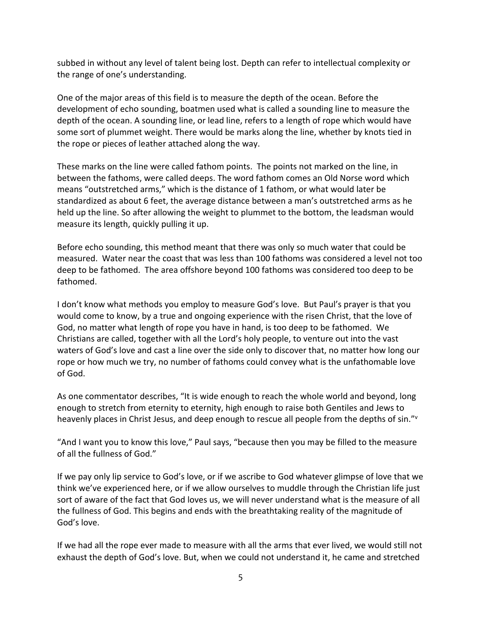subbed in without any level of talent being lost. Depth can refer to intellectual complexity or the range of one's understanding.

One of the major areas of this field is to measure the depth of the ocean. Before the development of echo sounding, boatmen used what is called a sounding line to measure the depth of the ocean. A sounding line, or lead line, refers to a length of rope which would have some sort of plummet weight. There would be marks along the line, whether by knots tied in the rope or pieces of leather attached along the way.

These marks on the line were called fathom points. The points not marked on the line, in between the fathoms, were called deeps. The word fathom comes an Old Norse word which means "outstretched arms," which is the distance of 1 fathom, or what would later be standardized as about 6 feet, the average distance between a man's outstretched arms as he held up the line. So after allowing the weight to plummet to the bottom, the leadsman would measure its length, quickly pulling it up.

Before echo sounding, this method meant that there was only so much water that could be measured. Water near the coast that was less than 100 fathoms was considered a level not too deep to be fathomed. The area offshore beyond 100 fathoms was considered too deep to be fathomed.

I don't know what methods you employ to measure God's love. But Paul's prayer is that you would come to know, by a true and ongoing experience with the risen Christ, that the love of God, no matter what length of rope you have in hand, is too deep to be fathomed. We Christians are called, together with all the Lord's holy people, to venture out into the vast waters of God's love and cast a line over the side only to discover that, no matter how long our rope or how much we try, no number of fathoms could convey what is the unfathomable love of God.

As one commentator describes, "It is wide enough to reach the whole world and beyond, long enough to stretch from eternity to eternity, high enough to raise both Gentiles and Jews to heavenly places in Christ Jesus, and deep enough to rescue all people from the depths of sin."<sup>v</sup>

"And I want you to know this love," Paul says, "because then you may be filled to the measure of all the fullness of God."

If we pay only lip service to God's love, or if we ascribe to God whatever glimpse of love that we think we've experienced here, or if we allow ourselves to muddle through the Christian life just sort of aware of the fact that God loves us, we will never understand what is the measure of all the fullness of God. This begins and ends with the breathtaking reality of the magnitude of God's love.

If we had all the rope ever made to measure with all the arms that ever lived, we would still not exhaust the depth of God's love. But, when we could not understand it, he came and stretched